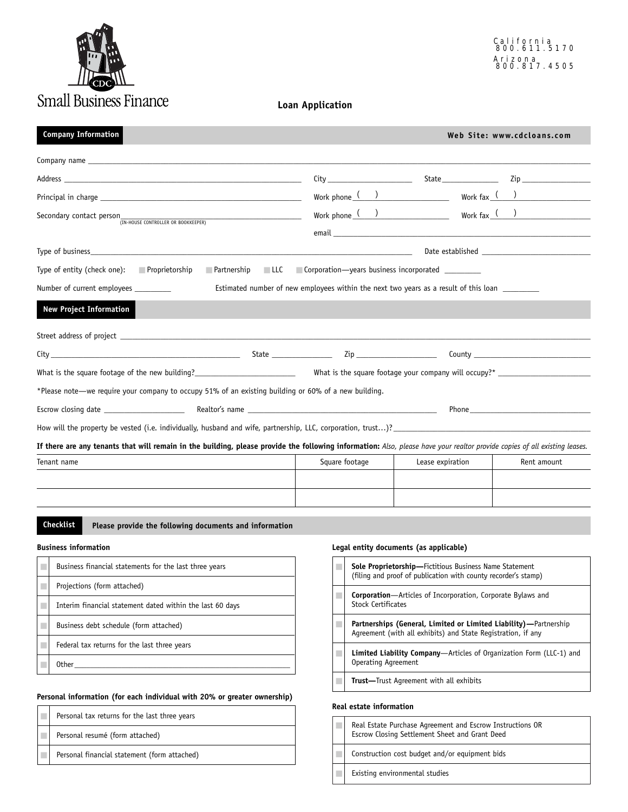

#### **Loan Application**

| <b>Company Information</b>                                                                                                                                                                                                           |                                                                                      |                                                                                                                                                                                                | Web Site: www.cdcloans.com                                            |
|--------------------------------------------------------------------------------------------------------------------------------------------------------------------------------------------------------------------------------------|--------------------------------------------------------------------------------------|------------------------------------------------------------------------------------------------------------------------------------------------------------------------------------------------|-----------------------------------------------------------------------|
|                                                                                                                                                                                                                                      |                                                                                      |                                                                                                                                                                                                |                                                                       |
| Address <b>and the contract of the contract of the contract of the contract of the contract of the contract of the contract of the contract of the contract of the contract of the contract of the contract of the contract of t</b> |                                                                                      |                                                                                                                                                                                                |                                                                       |
|                                                                                                                                                                                                                                      |                                                                                      | Work phone $($ ) Work fax $($ )                                                                                                                                                                |                                                                       |
| Secondary contact person<br>TRN-HOUSE CONTROLLER OR BOOKKEEPER)                                                                                                                                                                      |                                                                                      | Work phone $\frac{(\qquad)}{(\qquad)}$ Work fax $\frac{(\qquad)}{(\qquad)}$<br>email email and the contract of the contract of the contract of the contract of the contract of the contract of |                                                                       |
|                                                                                                                                                                                                                                      |                                                                                      |                                                                                                                                                                                                |                                                                       |
| Type of entity (check one): Proprietorship                                                                                                                                                                                           | <b>Example 20</b> Partnership <b>CLLC Corporation—years business incorporated</b>    |                                                                                                                                                                                                |                                                                       |
| Number of current employees _________                                                                                                                                                                                                | Estimated number of new employees within the next two years as a result of this loan |                                                                                                                                                                                                |                                                                       |
| <b>New Project Information</b>                                                                                                                                                                                                       |                                                                                      |                                                                                                                                                                                                |                                                                       |
|                                                                                                                                                                                                                                      |                                                                                      |                                                                                                                                                                                                |                                                                       |
|                                                                                                                                                                                                                                      |                                                                                      |                                                                                                                                                                                                |                                                                       |
| What is the square footage of the new building?<br>What is the square footage your company will occupy?*                                                                                                                             |                                                                                      |                                                                                                                                                                                                |                                                                       |
| *Please note—we require your company to occupy 51% of an existing building or 60% of a new building.                                                                                                                                 |                                                                                      |                                                                                                                                                                                                |                                                                       |
|                                                                                                                                                                                                                                      |                                                                                      |                                                                                                                                                                                                | Phone <b>Example 20</b> Phone <b>Example 20</b> Phone <b>20 Phone</b> |
|                                                                                                                                                                                                                                      |                                                                                      |                                                                                                                                                                                                |                                                                       |
| If there are any tenants that will remain in the building, please provide the following information: Also, please have your realtor provide copies of all existing leases.                                                           |                                                                                      |                                                                                                                                                                                                |                                                                       |
| Tenant name                                                                                                                                                                                                                          | Square footage                                                                       | Lease expiration                                                                                                                                                                               | Rent amount                                                           |
|                                                                                                                                                                                                                                      |                                                                                      |                                                                                                                                                                                                |                                                                       |
|                                                                                                                                                                                                                                      |                                                                                      |                                                                                                                                                                                                |                                                                       |
|                                                                                                                                                                                                                                      |                                                                                      |                                                                                                                                                                                                |                                                                       |

#### **Business information**

| Business financial statements for the last three years    |
|-----------------------------------------------------------|
| Projections (form attached)                               |
| Interim financial statement dated within the last 60 days |
| Business debt schedule (form attached)                    |
| Federal tax returns for the last three years              |
| <b>Other</b>                                              |

### **Personal information (for each individual with 20% or greater ownership)**

|  | Personal tax returns for the last three years |
|--|-----------------------------------------------|
|  | Personal resumé (form attached)               |
|  | Personal financial statement (form attached)  |

#### **Legal entity documents (as applicable)**

| <b>Sole Proprietorship-Fictitious Business Name Statement</b><br>(filing and proof of publication with county recorder's stamp)  |
|----------------------------------------------------------------------------------------------------------------------------------|
| <b>Corporation</b> —Articles of Incorporation, Corporate Bylaws and<br><b>Stock Certificates</b>                                 |
| Partnerships (General, Limited or Limited Liability)—Partnership<br>Agreement (with all exhibits) and State Registration, if any |
| <b>Limited Liability Company</b> —Articles of Organization Form (LLC-1) and<br>Operating Agreement                               |
| <b>Trust</b> —Trust Agreement with all exhibits                                                                                  |

#### **Real estate information**

| Real Estate Purchase Agreement and Escrow Instructions OR<br>Escrow Closing Settlement Sheet and Grant Deed |
|-------------------------------------------------------------------------------------------------------------|
| Construction cost budget and/or equipment bids                                                              |
| Existing environmental studies                                                                              |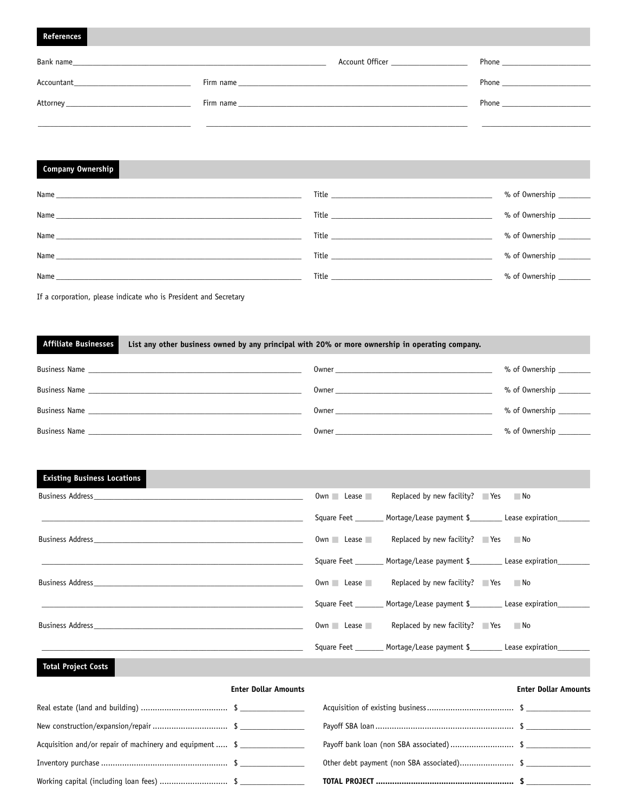#### **References**

| Bank name<br><u> 1989 - Johann Harry Harry Harry Harry Harry Harry Harry Harry Harry Harry Harry Harry Harry Harry Harry Harry H</u>                                                                                                                                                                                                                                                                                                                                                                                                                                                                                                       |                                                                                                                                                                                                                               | Account Officer <b>Example 20</b> | <b>Phone Example 20</b> |
|--------------------------------------------------------------------------------------------------------------------------------------------------------------------------------------------------------------------------------------------------------------------------------------------------------------------------------------------------------------------------------------------------------------------------------------------------------------------------------------------------------------------------------------------------------------------------------------------------------------------------------------------|-------------------------------------------------------------------------------------------------------------------------------------------------------------------------------------------------------------------------------|-----------------------------------|-------------------------|
| $\begin{minipage}{.4\linewidth} Accountant \begin{tabular}{@{}c@{}} \quad \quad \quad & \quad \quad & \quad \quad \\ \quad \quad & \quad \quad & \quad \quad \\ \quad \quad & \quad \quad & \quad \quad \\ \quad \quad & \quad \quad & \quad \quad \\ \quad \quad & \quad \quad & \quad \quad \\ \quad \quad & \quad \quad & \quad \quad \\ \quad \quad & \quad \quad & \quad \quad \\ \quad \quad & \quad \quad & \quad \quad \\ \quad \quad & \quad \quad & \quad \quad \\ \quad \quad & \quad \quad & \quad \quad \\ \quad \quad & \quad \quad & \quad \quad \\ \quad \quad & \quad \quad & \quad \quad \\ \quad \quad & \quad \quad &$ |                                                                                                                                                                                                                               |                                   | <b>Phone Example</b>    |
| Attorney                                                                                                                                                                                                                                                                                                                                                                                                                                                                                                                                                                                                                                   | Firm name and the state of the state of the state of the state of the state of the state of the state of the state of the state of the state of the state of the state of the state of the state of the state of the state of |                                   | Phone                   |
|                                                                                                                                                                                                                                                                                                                                                                                                                                                                                                                                                                                                                                            |                                                                                                                                                                                                                               |                                   |                         |

#### **Company Ownership**

|                                                                                                                                                                                                                                     | % of Ownership           |
|-------------------------------------------------------------------------------------------------------------------------------------------------------------------------------------------------------------------------------------|--------------------------|
|                                                                                                                                                                                                                                     | % of Ownership _________ |
|                                                                                                                                                                                                                                     | % of Ownership           |
|                                                                                                                                                                                                                                     | % of Ownership ________  |
| Title <b>The Community of the Community Community</b> and the Community of the Community of the Community of the Community of the Community of the Community of the Community of the Community of the Community of the Community of | $%$ of Ownership $\_\_$  |

If a corporation, please indicate who is President and Secretary

#### **Affiliate Businesses List any other business owned by any principal with 20% or more ownership in operating company.**

| <b>Business Name</b> | Owner | % of Ownership |
|----------------------|-------|----------------|
| <b>Business Name</b> | Owner | % of Ownership |
| <b>Business Name</b> | Owner | % of Ownership |
| <b>Business Name</b> | Owner | % of Ownership |

### **Existing Business Locations**

| Business Address <b>Example 20</b> No. 2014 12:30 No. 2014                                                             | $0$ wn $\Box$ Lease $\Box$ | Replaced by new facility? $\blacksquare$ Yes $\blacksquare$ No           |                                                                                   |
|------------------------------------------------------------------------------------------------------------------------|----------------------------|--------------------------------------------------------------------------|-----------------------------------------------------------------------------------|
|                                                                                                                        |                            | Square Feet ________ Mortage/Lease payment \$_________ Lease expiration_ |                                                                                   |
| Business Address <b>Example 20</b> No. 2014 19:30 No. 2014 19:30 No. 2014 19:30 No. 2014 19:30 No. 2014 19:30 No. 2014 |                            | $0$ wn Lease Replaced by new facility? Yes No                            |                                                                                   |
|                                                                                                                        |                            |                                                                          | Square Feet _________ Mortage/Lease payment \$____________ Lease expiration       |
| Business Address <b>Example 20</b> No. 2014 19:30 No. 2014 19:30 No. 2014 19:30 No. 2014 19:30 No. 2014 19:30 No. 2014 |                            | Own Lease Replaced by new facility? $\blacksquare$ Yes $\blacksquare$ No |                                                                                   |
|                                                                                                                        |                            |                                                                          | Square Feet _________ Mortage/Lease payment \$__________ Lease expiration________ |
| Business Address <b>Example 20</b> No. 2014 12:30 No. 2014                                                             | $0$ wn $\Box$ Lease        | Replaced by new facility? $\blacksquare$ Yes $\blacksquare$ No           |                                                                                   |
|                                                                                                                        |                            | Square Feet ________ Mortage/Lease payment \$_________ Lease expiration_ |                                                                                   |

#### **Total Project Costs**

|                                                          | <b>Enter Dollar Amounts</b> |                                         | <b>Enter Dollar Amounts</b> |
|----------------------------------------------------------|-----------------------------|-----------------------------------------|-----------------------------|
|                                                          |                             |                                         |                             |
|                                                          |                             |                                         |                             |
| Acquisition and/or repair of machinery and equipment  \$ |                             | Payoff bank loan (non SBA associated)\$ |                             |
|                                                          |                             |                                         |                             |
|                                                          |                             |                                         |                             |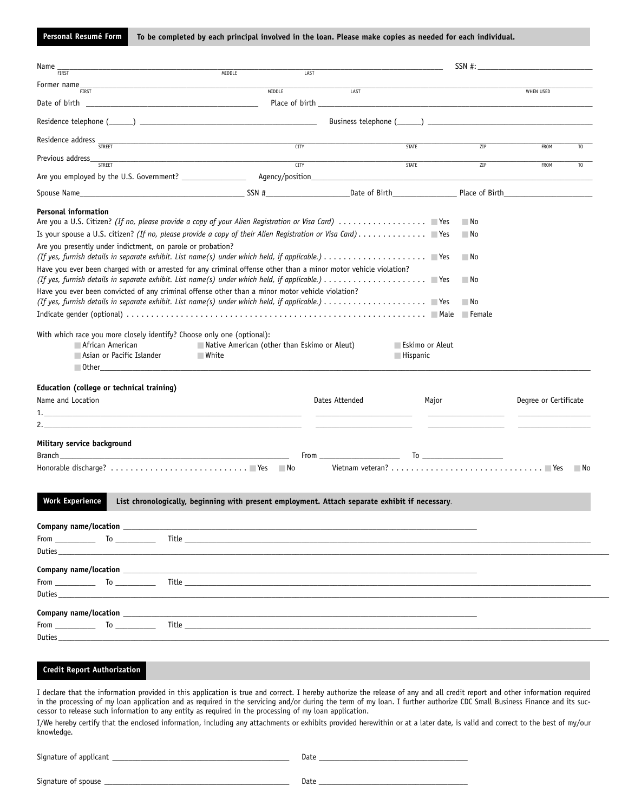**Personal Resumé Form To be completed by each principal involved in the loan. Please make copies as needed for each individual.**

| Name                                                                                                                                                                                                                                                                                                                                                                                                                                                                                                                     |                                                                                              |                                                                                                |                                                       |
|--------------------------------------------------------------------------------------------------------------------------------------------------------------------------------------------------------------------------------------------------------------------------------------------------------------------------------------------------------------------------------------------------------------------------------------------------------------------------------------------------------------------------|----------------------------------------------------------------------------------------------|------------------------------------------------------------------------------------------------|-------------------------------------------------------|
| <b>FIRST</b><br>Former name<br><u> 1980 - Jan James James Barnett, fransk politik (d. 1980)</u>                                                                                                                                                                                                                                                                                                                                                                                                                          | MIDDLE<br>LAST                                                                               |                                                                                                |                                                       |
| <b>FIRST</b><br>Date of birth                                                                                                                                                                                                                                                                                                                                                                                                                                                                                            | <b>MIDDLE</b>                                                                                | LAST                                                                                           | <b>WHEN USED</b>                                      |
|                                                                                                                                                                                                                                                                                                                                                                                                                                                                                                                          |                                                                                              |                                                                                                |                                                       |
| Residence address <sub>STREET</sub>                                                                                                                                                                                                                                                                                                                                                                                                                                                                                      | TITY                                                                                         | <b>STATE</b>                                                                                   | ZIP<br>FROM<br>T <sub>0</sub>                         |
| Previous address_<br><b>STRFFT</b>                                                                                                                                                                                                                                                                                                                                                                                                                                                                                       | <u> 1989 - Johann John Stein, mars an deus Frankrik (f. 1989)</u><br>$\frac{1}{\text{CITY}}$ | <b>STATE</b>                                                                                   | $\overline{ZIP}$<br>FROM<br>T <sub>0</sub>            |
|                                                                                                                                                                                                                                                                                                                                                                                                                                                                                                                          |                                                                                              |                                                                                                |                                                       |
| Spouse Name Place of Birth Place of Birth Place of Birth Place of Birth Place of Birth Place of Birth                                                                                                                                                                                                                                                                                                                                                                                                                    |                                                                                              |                                                                                                |                                                       |
| <b>Personal information</b><br>Are you presently under indictment, on parole or probation?<br>Have you ever been charged with or arrested for any criminal offense other than a minor motor vehicle violation?<br>Have you ever been convicted of any criminal offense other than a minor motor vehicle violation?<br>With which race you more closely identify? Choose only one (optional):<br><b>■ African American</b><br>Asian or Pacific Islander<br>Education (college or technical training)<br>Name and Location | $\Box$ Native American (other than Eskimo or Aleut)<br>$\blacksquare$ White                  | ■ Eskimo or Aleut<br>$\Box$ Hispanic<br>Dates Attended<br>Major                                | ⊟ No<br>⊟ No<br>⊟ No<br>⊟ No<br>Degree or Certificate |
| <u> 1989 - Johann Stoff, amerikansk politiker (d. 1989)</u>                                                                                                                                                                                                                                                                                                                                                                                                                                                              |                                                                                              |                                                                                                |                                                       |
| Military service background                                                                                                                                                                                                                                                                                                                                                                                                                                                                                              |                                                                                              |                                                                                                |                                                       |
|                                                                                                                                                                                                                                                                                                                                                                                                                                                                                                                          |                                                                                              |                                                                                                |                                                       |
| <b>Work Experience</b>                                                                                                                                                                                                                                                                                                                                                                                                                                                                                                   |                                                                                              | List chronologically, beginning with present employment. Attach separate exhibit if necessary. |                                                       |
| Company name/location entrance and the company of the company of the company of the company of the company of the company of the company of the company of the company of the company of the company of the company of the com                                                                                                                                                                                                                                                                                           |                                                                                              |                                                                                                |                                                       |
|                                                                                                                                                                                                                                                                                                                                                                                                                                                                                                                          |                                                                                              |                                                                                                |                                                       |
|                                                                                                                                                                                                                                                                                                                                                                                                                                                                                                                          |                                                                                              |                                                                                                |                                                       |
| <b>Credit Report Authorization</b><br>I declare that the information provided in this application is true and correct. I hereby authorize the release of any and all credit report and other information required<br>in the processing of my loan application and as required in the servicing and/or during the term of my loan. I further authorize CDC Small Business Finance and its suc-                                                                                                                            |                                                                                              |                                                                                                |                                                       |
| cessor to release such information to any entity as required in the processing of my loan application.<br>I/We hereby certify that the enclosed information, including any attachments or exhibits provided herewithin or at a later date, is valid and correct to the best of my/our<br>knowledge.                                                                                                                                                                                                                      |                                                                                              |                                                                                                |                                                       |

| Signature of applicant | Date |
|------------------------|------|
| Signature of spouse    | Date |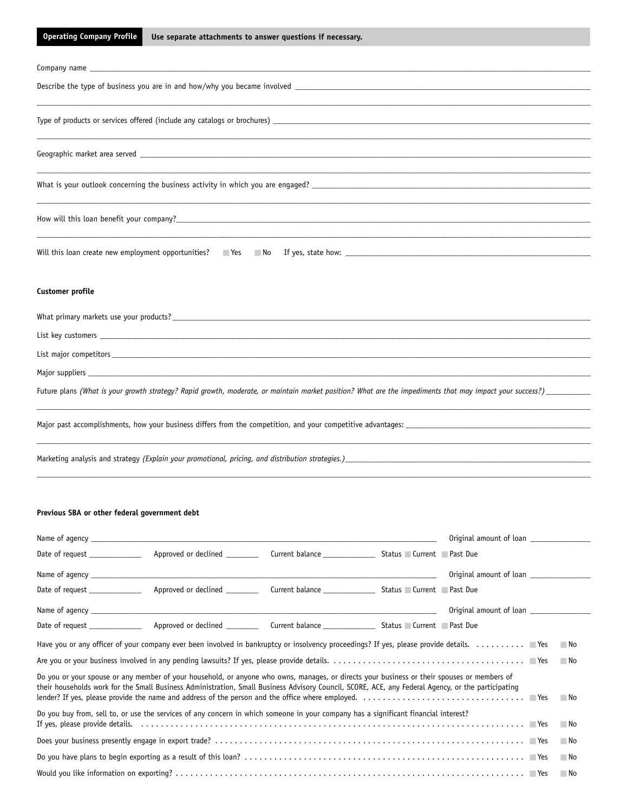#### **Operating Company Profile Use separate attachments to answer questions if necessary.**

| Will this loan create new employment opportunities? No Nest No News, state how: News, and the state how: News, and the state how: News, and the state how: News, and the state how: News, and the state how: News, and the sta |
|--------------------------------------------------------------------------------------------------------------------------------------------------------------------------------------------------------------------------------|
|                                                                                                                                                                                                                                |
|                                                                                                                                                                                                                                |
| Customer profile                                                                                                                                                                                                               |
|                                                                                                                                                                                                                                |
|                                                                                                                                                                                                                                |
|                                                                                                                                                                                                                                |
|                                                                                                                                                                                                                                |
|                                                                                                                                                                                                                                |
| Future plans (What is your growth strategy? Rapid growth, moderate, or maintain market position? What are the impediments that may impact your success?)                                                                       |
|                                                                                                                                                                                                                                |
|                                                                                                                                                                                                                                |
|                                                                                                                                                                                                                                |
| Marketing analysis and strategy (Explain your promotional, pricing, and distribution strategies.)_                                                                                                                             |

#### **Previous SBA or other federal government debt**

| Date of request ______________ |                                                                                                                                                                                                                                                                                                   |  |                         |       |
|--------------------------------|---------------------------------------------------------------------------------------------------------------------------------------------------------------------------------------------------------------------------------------------------------------------------------------------------|--|-------------------------|-------|
|                                |                                                                                                                                                                                                                                                                                                   |  | Original amount of loan |       |
| Date of request ______________ |                                                                                                                                                                                                                                                                                                   |  |                         |       |
|                                |                                                                                                                                                                                                                                                                                                   |  | Original amount of loan |       |
| Date of request                |                                                                                                                                                                                                                                                                                                   |  |                         |       |
|                                | Have you or any officer of your company ever been involved in bankruptcy or insolvency proceedings? If yes, please provide details. $\dots\dots\dots$                                                                                                                                             |  |                         | No.   |
|                                |                                                                                                                                                                                                                                                                                                   |  |                         | No    |
|                                | Do you or your spouse or any member of your household, or anyone who owns, manages, or directs your business or their spouses or members of<br>their households work for the Small Business Administration, Small Business Advisory Council, SCORE, ACE, any Federal Agency, or the participating |  |                         | No.   |
|                                | Do you buy from, sell to, or use the services of any concern in which someone in your company has a significant financial interest?                                                                                                                                                               |  |                         | No No |
|                                |                                                                                                                                                                                                                                                                                                   |  |                         | ⊟ No  |
|                                |                                                                                                                                                                                                                                                                                                   |  |                         | - No  |
|                                |                                                                                                                                                                                                                                                                                                   |  |                         | - No  |

\_\_\_\_\_\_\_\_\_\_\_\_\_\_\_\_\_\_\_\_\_\_\_\_\_\_\_\_\_\_\_\_\_\_\_\_\_\_\_\_\_\_\_\_\_\_\_\_\_\_\_\_\_\_\_\_\_\_\_\_\_\_\_\_\_\_\_\_\_\_\_\_\_\_\_\_\_\_\_\_\_\_\_\_\_\_\_\_\_\_\_\_\_\_\_\_\_\_\_\_\_\_\_\_\_\_\_\_\_\_\_\_\_\_\_\_\_\_\_\_\_\_\_\_\_\_\_\_\_\_\_\_\_\_\_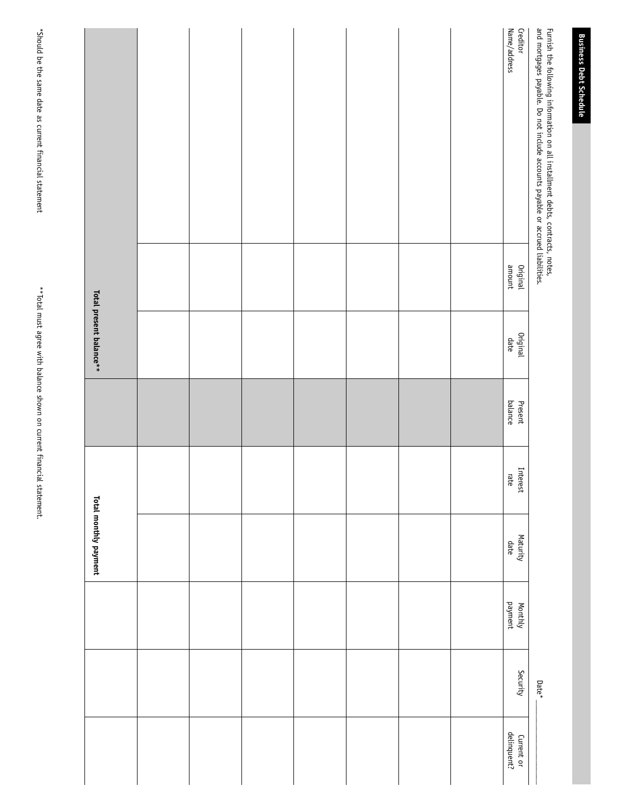|                         | Name/address<br>Creditor  |                                                                                                                                                                 |
|-------------------------|---------------------------|-----------------------------------------------------------------------------------------------------------------------------------------------------------------|
|                         |                           | Furnish the following information on all installment debts, contracts, notes,<br>and mortgages payable. Do not include accounts payable or accrued liabilities. |
|                         |                           |                                                                                                                                                                 |
|                         |                           |                                                                                                                                                                 |
|                         |                           |                                                                                                                                                                 |
|                         |                           |                                                                                                                                                                 |
|                         | Original<br>amount        |                                                                                                                                                                 |
| Total present balance** | Original<br>date          |                                                                                                                                                                 |
|                         |                           |                                                                                                                                                                 |
|                         | balance<br>Present        |                                                                                                                                                                 |
|                         |                           |                                                                                                                                                                 |
|                         | Interest<br>rate          |                                                                                                                                                                 |
| Total monthly payment   |                           |                                                                                                                                                                 |
|                         | Maturity<br>date          |                                                                                                                                                                 |
|                         | payment<br>Monthly        |                                                                                                                                                                 |
|                         |                           |                                                                                                                                                                 |
|                         | Security                  | $Date^*$                                                                                                                                                        |
|                         |                           |                                                                                                                                                                 |
|                         | Current or<br>delinquent? |                                                                                                                                                                 |

\*Should be the same date as current financial statement

\*Should be the same date as current financial statement

\*\* Total must agree with balance shown on current financial statement. \*\*Total must agree with balance shown on current financial statement.

**Business Debt Schedule**

**Business Debt Schedule**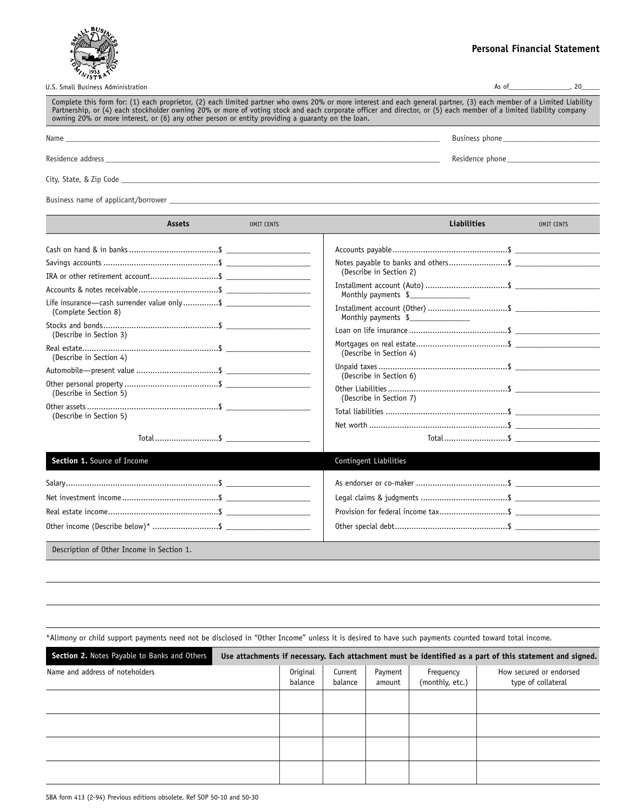

#### **Personal Financial Statement**

| U.S. Small Business Administration                                                                                                                                                                                                                                                                                                                                                                                                             | As of          |  |
|------------------------------------------------------------------------------------------------------------------------------------------------------------------------------------------------------------------------------------------------------------------------------------------------------------------------------------------------------------------------------------------------------------------------------------------------|----------------|--|
| Complete this form for: (1) each proprietor, (2) each limited partner who owns 20% or more interest and each general partner, (3) each member of a Limited Liability<br>Partnership, or (4) each stockholder owning 20% or more of voting stock and each corporate officer and director, or (5) each member of a limited liability company<br>owning 20% or more interest, or (6) any other person or entity providing a quaranty on the loan. |                |  |
| Name                                                                                                                                                                                                                                                                                                                                                                                                                                           | Business phone |  |

Residence address \_\_\_\_\_\_\_\_\_\_\_\_\_\_\_\_\_\_\_\_\_\_\_\_\_\_\_\_\_\_\_\_\_\_\_\_\_\_\_\_\_\_\_\_\_\_\_\_\_\_\_\_\_\_\_\_\_\_\_\_\_\_\_\_\_\_\_\_\_\_\_\_\_\_\_\_\_\_\_\_\_\_\_ Residence phone\_\_\_\_\_\_\_\_\_\_\_\_\_\_\_\_\_\_\_\_\_\_\_

City, State, & Zip Code \_\_\_\_\_\_\_\_\_\_\_\_\_\_\_\_\_\_\_\_\_\_\_\_\_\_\_\_\_\_\_\_\_\_\_\_\_\_\_\_\_\_\_\_\_\_\_\_\_\_\_\_\_\_\_\_\_\_\_\_\_\_\_\_\_\_\_\_\_\_\_\_\_\_\_\_\_\_\_\_\_\_\_\_\_\_\_\_\_\_\_\_\_\_\_\_\_\_\_\_\_\_\_\_\_\_\_\_\_\_\_\_\_\_\_\_\_\_\_

Business name of applicant/borrower \_\_\_\_\_\_\_\_\_\_\_\_\_\_\_\_\_\_\_\_\_\_\_\_\_\_\_\_\_\_\_\_\_\_\_\_\_\_\_\_\_\_\_\_\_\_\_\_\_\_\_\_\_\_\_\_\_\_\_\_\_\_\_\_\_\_\_\_\_\_\_\_\_\_\_\_\_\_\_\_\_\_\_\_\_\_\_\_\_\_\_\_\_\_\_\_\_\_\_\_\_\_\_\_\_\_\_

|                                                                                                                                                                       | Assets | <b>OMIT CENTS</b> | <b>Liabilities</b>                                                                                                                                     | <b>OMIT CENTS</b> |
|-----------------------------------------------------------------------------------------------------------------------------------------------------------------------|--------|-------------------|--------------------------------------------------------------------------------------------------------------------------------------------------------|-------------------|
| IRA or other retirement account\$<br>(Complete Section 8)<br>(Describe in Section 3)<br>(Describe in Section 4)<br>(Describe in Section 5)<br>(Describe in Section 5) |        |                   | (Describe in Section 2)<br>Monthly payments \$<br>Monthly payments \$<br>(Describe in Section 4)<br>(Describe in Section 6)<br>(Describe in Section 7) |                   |
| Section 1. Source of Income                                                                                                                                           |        |                   | Contingent Liabilities                                                                                                                                 |                   |
|                                                                                                                                                                       |        |                   |                                                                                                                                                        |                   |
| Description of Other Income in Section 1.                                                                                                                             |        |                   |                                                                                                                                                        |                   |

\*Alimony or child support payments need not be disclosed in "Other Income" unless it is desired to have such payments counted toward total income.

| Section 2. Notes Payable to Banks and Others |                            |                    |                   |                              | Use attachments if necessary. Each attachment must be identified as a part of this statement and signed. |
|----------------------------------------------|----------------------------|--------------------|-------------------|------------------------------|----------------------------------------------------------------------------------------------------------|
| Name and address of noteholders              | <b>Original</b><br>balance | Current<br>balance | Payment<br>amount | Frequency<br>(monthly, etc.) | How secured or endorsed<br>type of collateral                                                            |
|                                              |                            |                    |                   |                              |                                                                                                          |
|                                              |                            |                    |                   |                              |                                                                                                          |
|                                              |                            |                    |                   |                              |                                                                                                          |
|                                              |                            |                    |                   |                              |                                                                                                          |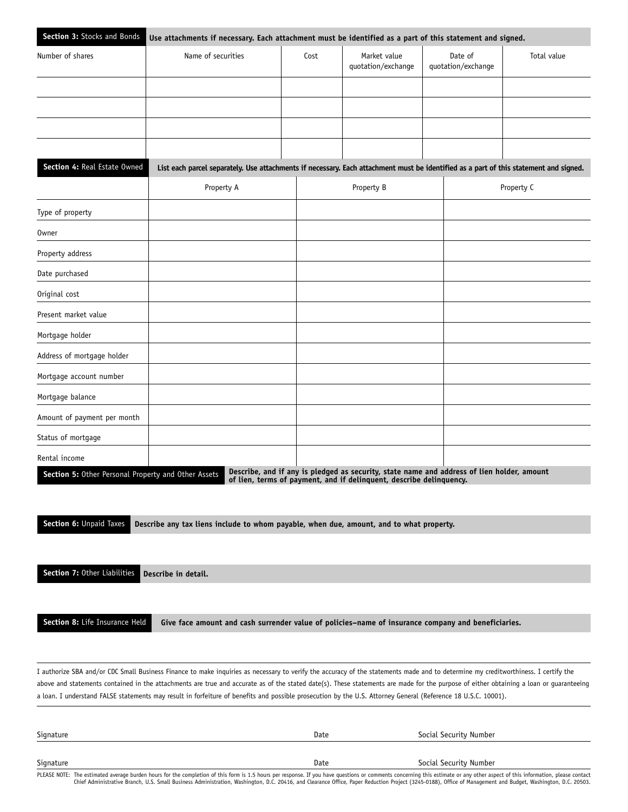| Section 3: Stocks and Bonds                         | Use attachments if necessary. Each attachment must be identified as a part of this statement and signed.                              |      |                                                                                                                                                                   |                               |             |  |  |  |  |  |
|-----------------------------------------------------|---------------------------------------------------------------------------------------------------------------------------------------|------|-------------------------------------------------------------------------------------------------------------------------------------------------------------------|-------------------------------|-------------|--|--|--|--|--|
| Number of shares                                    | Name of securities                                                                                                                    | Cost | Market value<br>quotation/exchange                                                                                                                                | Date of<br>quotation/exchange | Total value |  |  |  |  |  |
|                                                     |                                                                                                                                       |      |                                                                                                                                                                   |                               |             |  |  |  |  |  |
|                                                     |                                                                                                                                       |      |                                                                                                                                                                   |                               |             |  |  |  |  |  |
|                                                     |                                                                                                                                       |      |                                                                                                                                                                   |                               |             |  |  |  |  |  |
|                                                     |                                                                                                                                       |      |                                                                                                                                                                   |                               |             |  |  |  |  |  |
| Section 4: Real Estate Owned                        | List each parcel separately. Use attachments if necessary. Each attachment must be identified as a part of this statement and signed. |      |                                                                                                                                                                   |                               |             |  |  |  |  |  |
|                                                     | Property A                                                                                                                            |      | Property B                                                                                                                                                        |                               | Property C  |  |  |  |  |  |
| Type of property                                    |                                                                                                                                       |      |                                                                                                                                                                   |                               |             |  |  |  |  |  |
| <b>Owner</b>                                        |                                                                                                                                       |      |                                                                                                                                                                   |                               |             |  |  |  |  |  |
| Property address                                    |                                                                                                                                       |      |                                                                                                                                                                   |                               |             |  |  |  |  |  |
| Date purchased                                      |                                                                                                                                       |      |                                                                                                                                                                   |                               |             |  |  |  |  |  |
| Original cost                                       |                                                                                                                                       |      |                                                                                                                                                                   |                               |             |  |  |  |  |  |
| Present market value                                |                                                                                                                                       |      |                                                                                                                                                                   |                               |             |  |  |  |  |  |
| Mortgage holder                                     |                                                                                                                                       |      |                                                                                                                                                                   |                               |             |  |  |  |  |  |
| Address of mortgage holder                          |                                                                                                                                       |      |                                                                                                                                                                   |                               |             |  |  |  |  |  |
| Mortgage account number                             |                                                                                                                                       |      |                                                                                                                                                                   |                               |             |  |  |  |  |  |
| Mortgage balance                                    |                                                                                                                                       |      |                                                                                                                                                                   |                               |             |  |  |  |  |  |
| Amount of payment per month                         |                                                                                                                                       |      |                                                                                                                                                                   |                               |             |  |  |  |  |  |
| Status of mortgage                                  |                                                                                                                                       |      |                                                                                                                                                                   |                               |             |  |  |  |  |  |
| Rental income                                       |                                                                                                                                       |      |                                                                                                                                                                   |                               |             |  |  |  |  |  |
| Section 5: Other Personal Property and Other Assets |                                                                                                                                       |      | Describe, and if any is pledged as security, state name and address of lien holder, amount<br>of lien, terms of payment, and if delinquent, describe delinquency. |                               |             |  |  |  |  |  |

**Section 6:** Unpaid Taxes **Describe any tax liens include to whom payable, when due, amount, and to what property.**

**Section 7:** Other Liabilities

**Describe in detail.**

**Section 8:** Life Insurance Held **Give face amount and cash surrender value of policies–name of insurance company and beneficiaries.**

I authorize SBA and/or CDC Small Business Finance to make inquiries as necessary to verify the accuracy of the statements made and to determine my creditworthiness. I certify the above and statements contained in the attachments are true and accurate as of the stated date(s). These statements are made for the purpose of either obtaining a loan or guaranteeing a loan. I understand FALSE statements may result in forfeiture of benefits and possible prosecution by the U.S. Attorney General (Reference 18 U.S.C. 10001).

| Signature                                                                                                                                                                                                                      | Date | Social Security Number |
|--------------------------------------------------------------------------------------------------------------------------------------------------------------------------------------------------------------------------------|------|------------------------|
|                                                                                                                                                                                                                                |      |                        |
| Signature                                                                                                                                                                                                                      | Date | Social Security Number |
| THERE NOTE: The calculational books house for all concludes of all forms to a response the concernent common concerned before the concerned of all before all concerned of all before all concerned to a response to the conce |      |                        |

PLEASE NOTE: The estimated average burden hours for the completion of this form is 1.5 hours per response. If you have questions or comments concerning this estimate or any other aspect of this information, please contact<br>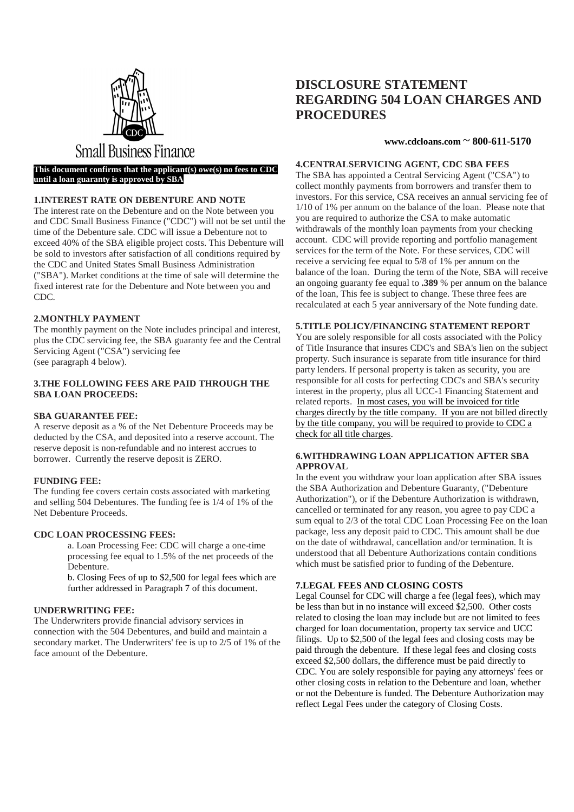

## **Small Business Finance**

#### **This document confirms that the applicant(s) owe(s) no fees to CDC until a loan guaranty is approved by SBA**

#### **1.INTEREST RATE ON DEBENTURE AND NOTE**

The interest rate on the Debenture and on the Note between you and CDC Small Business Finance ("CDC") will not be set until the time of the Debenture sale. CDC will issue a Debenture not to exceed 40% of the SBA eligible project costs. This Debenture will be sold to investors after satisfaction of all conditions required by the CDC and United States Small Business Administration ("SBA"). Market conditions at the time of sale will determine the fixed interest rate for the Debenture and Note between you and CDC.

#### **2.MONTHLY PAYMENT**

The monthly payment on the Note includes principal and interest, plus the CDC servicing fee, the SBA guaranty fee and the Central Servicing Agent ("CSA") servicing fee (see paragraph 4 below).

#### **3.THE FOLLOWING FEES ARE PAID THROUGH THE SBA LOAN PROCEEDS:**

#### **SBA GUARANTEE FEE:**

A reserve deposit as a % of the Net Debenture Proceeds may be deducted by the CSA, and deposited into a reserve account. The reserve deposit is non-refundable and no interest accrues to borrower. Currently the reserve deposit is ZERO.

#### **FUNDING FEE:**

The funding fee covers certain costs associated with marketing and selling 504 Debentures. The funding fee is 1/4 of 1% of the Net Debenture Proceeds.

#### **CDC LOAN PROCESSING FEES:**

 a. Loan Processing Fee: CDC will charge a one-time processing fee equal to 1.5% of the net proceeds of the Debenture.

b. Closing Fees of up to \$2,500 for legal fees which are further addressed in Paragraph 7 of this document.

#### **UNDERWRITING FEE:**

The Underwriters provide financial advisory services in connection with the 504 Debentures, and build and maintain a secondary market. The Underwriters' fee is up to 2/5 of 1% of the face amount of the Debenture.

### **DISCLOSURE STATEMENT REGARDING 504 LOAN CHARGES AND PROCEDURES**

#### **www.cdcloans.com** ~ **800-611-5170**

#### **4.CENTRALSERVICING AGENT, CDC SBA FEES**

The SBA has appointed a Central Servicing Agent ("CSA") to collect monthly payments from borrowers and transfer them to investors. For this service, CSA receives an annual servicing fee of 1/10 of 1% per annum on the balance of the loan. Please note that you are required to authorize the CSA to make automatic withdrawals of the monthly loan payments from your checking account. CDC will provide reporting and portfolio management services for the term of the Note. For these services, CDC will receive a servicing fee equal to 5/8 of 1% per annum on the balance of the loan. During the term of the Note, SBA will receive an ongoing guaranty fee equal to **.389** % per annum on the balance of the loan, This fee is subject to change. These three fees are recalculated at each 5 year anniversary of the Note funding date.

#### **5.TITLE POLICY/FINANCING STATEMENT REPORT**

You are solely responsible for all costs associated with the Policy of Title Insurance that insures CDC's and SBA's lien on the subject property. Such insurance is separate from title insurance for third party lenders. If personal property is taken as security, you are responsible for all costs for perfecting CDC's and SBA's security interest in the property, plus all UCC-1 Financing Statement and related reports. In most cases, you will be invoiced for title charges directly by the title company. If you are not billed directly by the title company, you will be required to provide to CDC a check for all title charges.

#### **6.WITHDRAWING LOAN APPLICATION AFTER SBA APPROVAL**

In the event you withdraw your loan application after SBA issues the SBA Authorization and Debenture Guaranty, ("Debenture Authorization"), or if the Debenture Authorization is withdrawn, cancelled or terminated for any reason, you agree to pay CDC a sum equal to 2/3 of the total CDC Loan Processing Fee on the loan package, less any deposit paid to CDC. This amount shall be due on the date of withdrawal, cancellation and/or termination. It is understood that all Debenture Authorizations contain conditions which must be satisfied prior to funding of the Debenture.

#### **7.LEGAL FEES AND CLOSING COSTS**

Legal Counsel for CDC will charge a fee (legal fees), which may be less than but in no instance will exceed \$2,500. Other costs related to closing the loan may include but are not limited to fees charged for loan documentation, property tax service and UCC filings. Up to \$2,500 of the legal fees and closing costs may be paid through the debenture. If these legal fees and closing costs exceed \$2,500 dollars, the difference must be paid directly to CDC. You are solely responsible for paying any attorneys' fees or other closing costs in relation to the Debenture and loan, whether or not the Debenture is funded. The Debenture Authorization may reflect Legal Fees under the category of Closing Costs.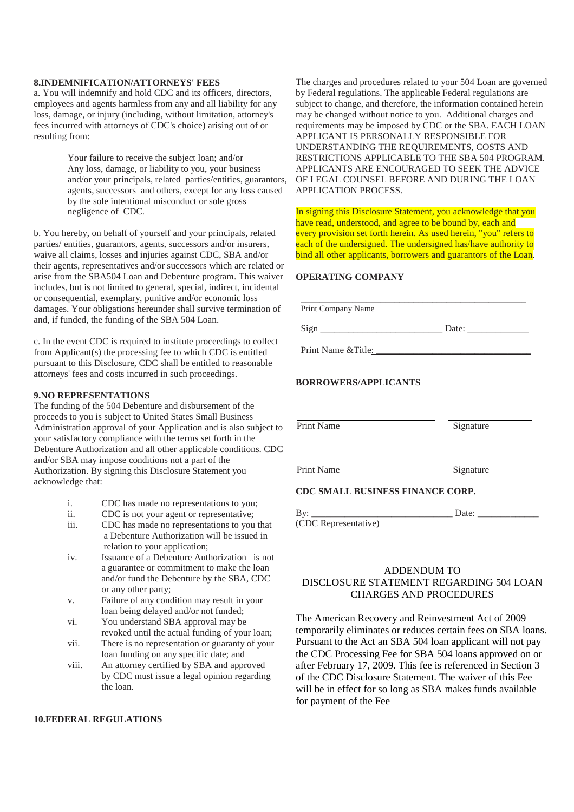#### **8.INDEMNIFICATION/ATTORNEYS' FEES**

a. You will indemnify and hold CDC and its officers, directors, employees and agents harmless from any and all liability for any loss, damage, or injury (including, without limitation, attorney's fees incurred with attorneys of CDC's choice) arising out of or resulting from:

> Your failure to receive the subject loan; and/or Any loss, damage, or liability to you, your business and/or your principals, related parties/entities, guarantors, agents, successors and others, except for any loss caused by the sole intentional misconduct or sole gross negligence of CDC.

b. You hereby, on behalf of yourself and your principals, related parties/ entities, guarantors, agents, successors and/or insurers, waive all claims, losses and injuries against CDC, SBA and/or their agents, representatives and/or successors which are related or arise from the SBA504 Loan and Debenture program. This waiver includes, but is not limited to general, special, indirect, incidental or consequential, exemplary, punitive and/or economic loss damages. Your obligations hereunder shall survive termination of and, if funded, the funding of the SBA 504 Loan.

c. In the event CDC is required to institute proceedings to collect from Applicant(s) the processing fee to which CDC is entitled pursuant to this Disclosure, CDC shall be entitled to reasonable attorneys' fees and costs incurred in such proceedings.

#### **9.NO REPRESENTATIONS**

The funding of the 504 Debenture and disbursement of the proceeds to you is subject to United States Small Business Administration approval of your Application and is also subject to your satisfactory compliance with the terms set forth in the Debenture Authorization and all other applicable conditions. CDC and/or SBA may impose conditions not a part of the Authorization. By signing this Disclosure Statement you acknowledge that:

- i. CDC has made no representations to you;
- ii. CDC is not your agent or representative;
- iii. CDC has made no representations to you that a Debenture Authorization will be issued in relation to your application;
- iv. Issuance of a Debenture Authorization is not a guarantee or commitment to make the loan and/or fund the Debenture by the SBA, CDC or any other party;
- v. Failure of any condition may result in your loan being delayed and/or not funded;
- vi. You understand SBA approval may be revoked until the actual funding of your loan;
- vii. There is no representation or guaranty of your loan funding on any specific date; and
- viii. An attorney certified by SBA and approved by CDC must issue a legal opinion regarding the loan.

#### **10.FEDERAL REGULATIONS**

The charges and procedures related to your 504 Loan are governed by Federal regulations. The applicable Federal regulations are subject to change, and therefore, the information contained herein may be changed without notice to you. Additional charges and requirements may be imposed by CDC or the SBA. EACH LOAN APPLICANT IS PERSONALLY RESPONSIBLE FOR UNDERSTANDING THE REQUIREMENTS, COSTS AND RESTRICTIONS APPLICABLE TO THE SBA 504 PROGRAM. APPLICANTS ARE ENCOURAGED TO SEEK THE ADVICE OF LEGAL COUNSEL BEFORE AND DURING THE LOAN APPLICATION PROCESS.

In signing this Disclosure Statement, you acknowledge that you have read, understood, and agree to be bound by, each and every provision set forth herein. As used herein, "you" refers to each of the undersigned. The undersigned has/have authority to bind all other applicants, borrowers and guarantors of the Loan.

**\_\_\_\_\_\_\_\_\_\_\_\_\_\_\_\_\_\_\_\_\_\_\_\_\_\_\_\_\_\_\_\_\_\_\_\_\_\_\_\_\_\_\_\_\_\_\_\_**

#### **OPERATING COMPANY**

Print Company Name

Sign \_\_\_\_\_\_\_\_\_\_\_\_\_\_\_\_\_\_\_\_\_\_\_\_\_\_ Date: \_\_\_\_\_\_\_\_\_\_\_\_\_

Print Name & Title:

#### **BORROWERS/APPLICANTS**

Print Name Signature

Print Name Signature

#### **CDC SMALL BUSINESS FINANCE CORP.**

By: \_\_\_\_\_\_\_\_\_\_\_\_\_\_\_\_\_\_\_\_\_\_\_\_\_\_\_\_\_\_ Date: \_\_\_\_\_\_\_\_\_\_\_\_\_ (CDC Representative)

#### ADDENDUM TO DISCLOSURE STATEMENT REGARDING 504 LOAN CHARGES AND PROCEDURES

The American Recovery and Reinvestment Act of 2009 temporarily eliminates or reduces certain fees on SBA loans. Pursuant to the Act an SBA 504 loan applicant will not pay the CDC Processing Fee for SBA 504 loans approved on or after February 17, 2009. This fee is referenced in Section 3 of the CDC Disclosure Statement. The waiver of this Fee will be in effect for so long as SBA makes funds available for payment of the Fee